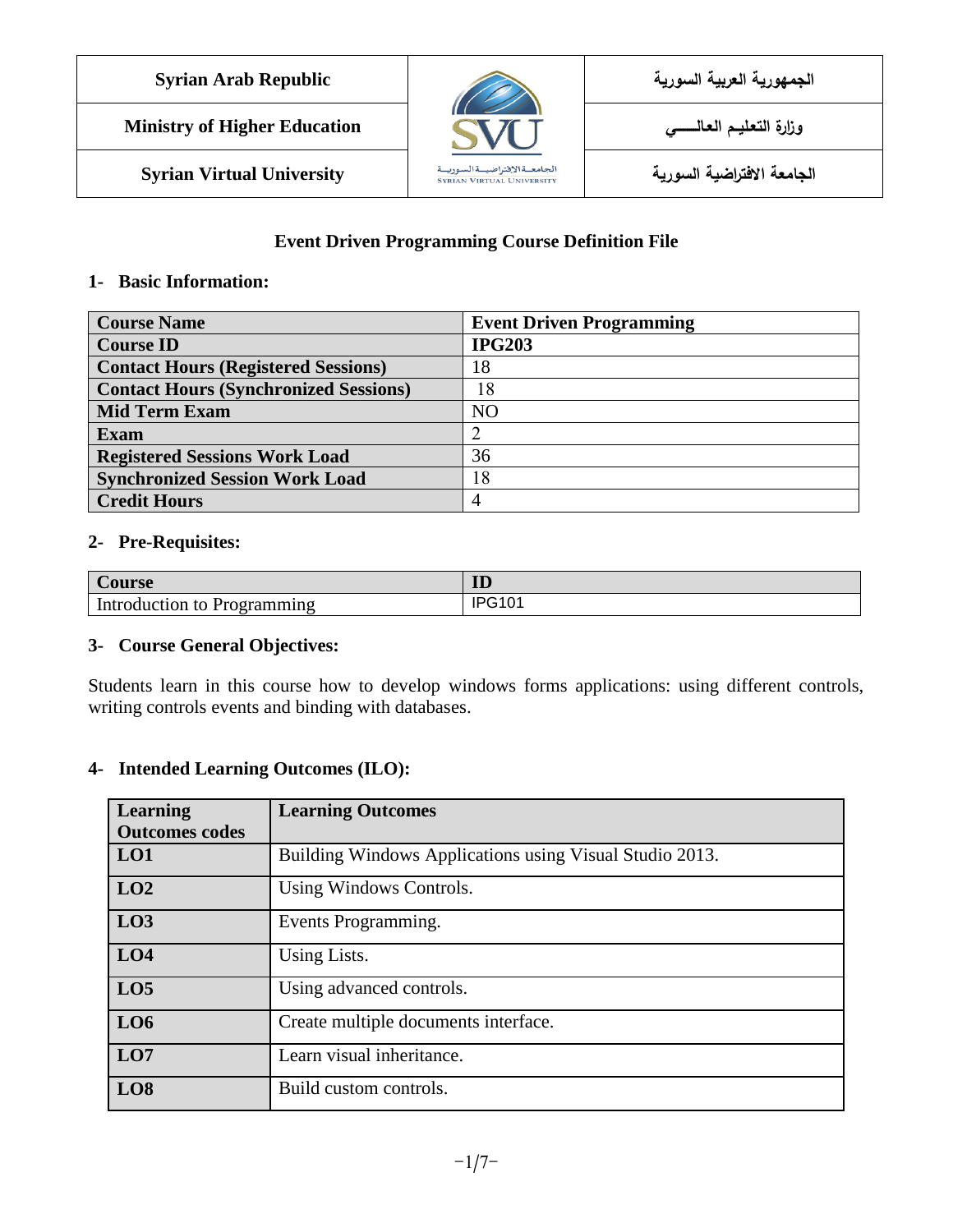| <b>Syrian Arab Republic</b>         |                                                                    | الجمهورية العربية السورية  |
|-------------------------------------|--------------------------------------------------------------------|----------------------------|
| <b>Ministry of Higher Education</b> |                                                                    |                            |
| <b>Syrian Virtual University</b>    | الجامعــةالاقتراضيــةالسوريــة<br><b>SYRIAN VIRTUAL UNIVERSITY</b> | الجامعة الافتراضية السورية |

#### **Event Driven Programming Course Definition File**

#### **1- Basic Information:**

| <b>Course Name</b>                           | <b>Event Driven Programming</b> |
|----------------------------------------------|---------------------------------|
| <b>Course ID</b>                             | <b>IPG203</b>                   |
| <b>Contact Hours (Registered Sessions)</b>   | 18                              |
| <b>Contact Hours (Synchronized Sessions)</b> | 18                              |
| <b>Mid Term Exam</b>                         | N <sub>O</sub>                  |
| <b>Exam</b>                                  |                                 |
| <b>Registered Sessions Work Load</b>         | 36                              |
| <b>Synchronized Session Work Load</b>        | 18                              |
| <b>Credit Hours</b>                          |                                 |

#### **2- Pre-Requisites:**

| Course        | <b>TT</b><br>IJ         |
|---------------|-------------------------|
| Introduction  | 100101                  |
| to            | $\overline{\mathsf{v}}$ |
| - Programming | ∼                       |

#### **3- Course General Objectives:**

Students learn in this course how to develop windows forms applications: using different controls, writing controls events and binding with databases.

#### **4- Intended Learning Outcomes (ILO):**

| Learning              | <b>Learning Outcomes</b>                                |
|-----------------------|---------------------------------------------------------|
| <b>Outcomes codes</b> |                                                         |
| LO1                   | Building Windows Applications using Visual Studio 2013. |
| LO2                   | Using Windows Controls.                                 |
| LO3                   | Events Programming.                                     |
| LO4                   | Using Lists.                                            |
| LO <sub>5</sub>       | Using advanced controls.                                |
| LO6                   | Create multiple documents interface.                    |
| LO7                   | Learn visual inheritance.                               |
| LO <sub>8</sub>       | Build custom controls.                                  |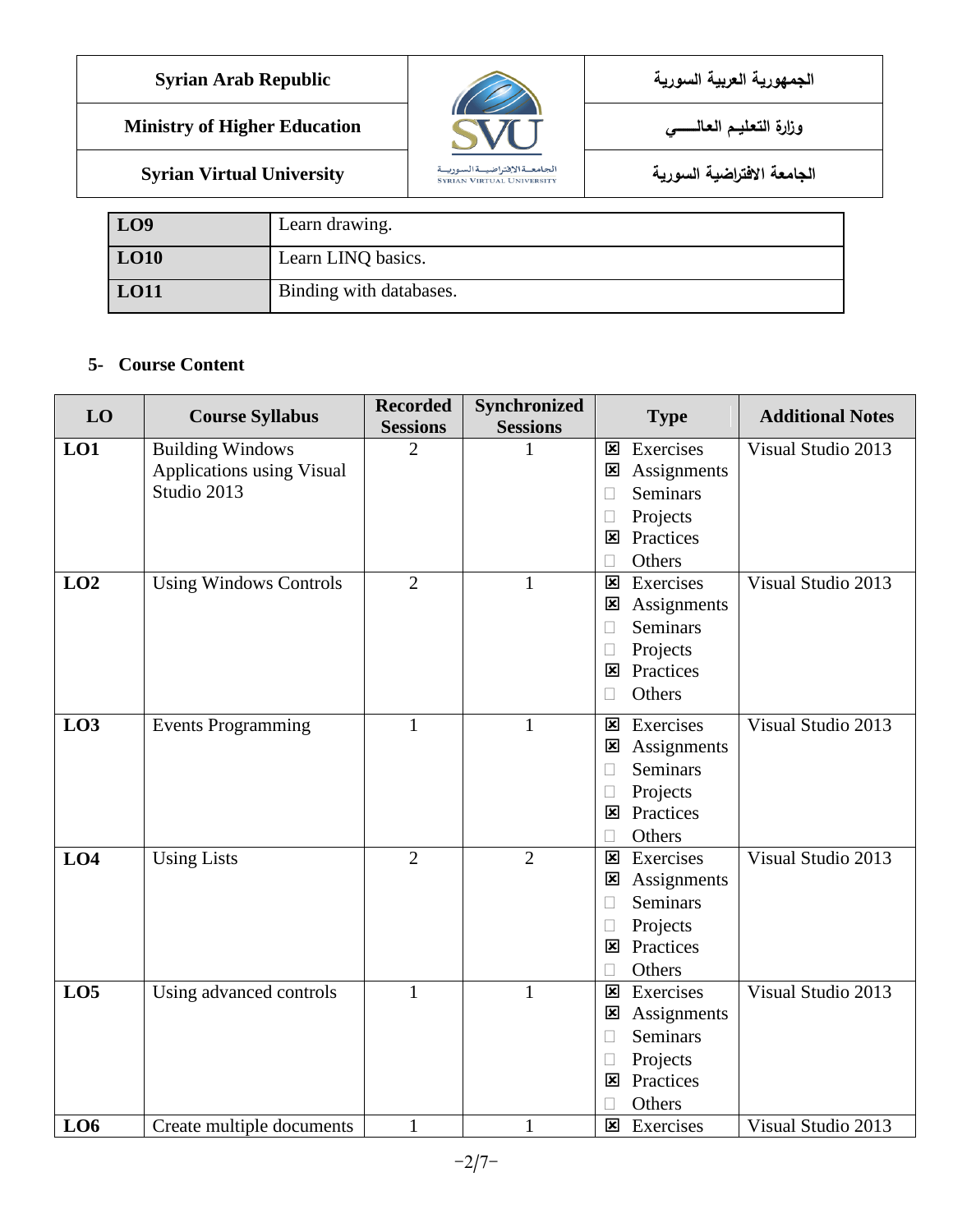**الجمهورية العربية السورية Republic Arab Syrian**

**Ministry of Higher Education العـالـــــــــي التعـليــم وزارة**



**LO9** Learn drawing. LO10 Learn LINQ basics. **LO11** Binding with databases.

#### **5- Course Content**

| LO              | <b>Course Syllabus</b>                   | <b>Recorded</b> | Synchronized    | <b>Additional Notes</b><br><b>Type</b> |                    |
|-----------------|------------------------------------------|-----------------|-----------------|----------------------------------------|--------------------|
|                 |                                          | <b>Sessions</b> | <b>Sessions</b> |                                        |                    |
| LO1             | <b>Building Windows</b>                  | $\overline{2}$  |                 | Exercises<br>$\overline{\mathbf{x}}$   | Visual Studio 2013 |
|                 | Applications using Visual<br>Studio 2013 |                 |                 | Assignments<br>⊠                       |                    |
|                 |                                          |                 |                 | <b>Seminars</b><br>$\Box$              |                    |
|                 |                                          |                 |                 | Projects<br>$\Box$                     |                    |
|                 |                                          |                 |                 | Practices<br>⊠                         |                    |
|                 |                                          |                 |                 | Others<br>П                            |                    |
| LO2             | <b>Using Windows Controls</b>            | $\overline{2}$  | 1               | Exercises<br>$\overline{\mathbf{x}}$   | Visual Studio 2013 |
|                 |                                          |                 |                 | Assignments<br>区                       |                    |
|                 |                                          |                 |                 | <b>Seminars</b><br>П                   |                    |
|                 |                                          |                 |                 | Projects<br>$\Box$                     |                    |
|                 |                                          |                 |                 | Practices<br>$\overline{\mathbf{x}}$   |                    |
|                 |                                          |                 |                 | Others<br>П                            |                    |
| LO3             | <b>Events Programming</b>                | 1               | 1               | Exercises<br>⊠                         | Visual Studio 2013 |
|                 |                                          |                 |                 | Assignments<br>⊠                       |                    |
|                 |                                          |                 |                 | <b>Seminars</b><br>$\Box$              |                    |
|                 |                                          |                 |                 | Projects<br>П                          |                    |
|                 |                                          |                 |                 | Practices<br>⊠                         |                    |
|                 |                                          |                 |                 | Others                                 |                    |
| LO <sub>4</sub> | <b>Using Lists</b>                       | $\overline{2}$  | $\overline{2}$  | Exercises<br>$\overline{\mathbf{x}}$   | Visual Studio 2013 |
|                 |                                          |                 |                 | Assignments<br>$\mathbf{\mathbf{x}}$   |                    |
|                 |                                          |                 |                 | <b>Seminars</b><br>П                   |                    |
|                 |                                          |                 |                 | Projects<br>$\Box$                     |                    |
|                 |                                          |                 |                 | Practices<br>$\overline{\mathbf{x}}$   |                    |
|                 |                                          |                 |                 | Others                                 |                    |
| LO <sub>5</sub> | Using advanced controls                  | 1               | 1               | Exercises<br>$\overline{\mathbf{x}}$   | Visual Studio 2013 |
|                 |                                          |                 |                 | Assignments<br>$\overline{\mathbf{x}}$ |                    |
|                 |                                          |                 |                 | <b>Seminars</b><br>$\Box$              |                    |
|                 |                                          |                 |                 | Projects<br>$\mathbf{L}$               |                    |
|                 |                                          |                 |                 | Practices<br>$\overline{\mathbf{x}}$   |                    |
|                 |                                          |                 |                 | Others                                 |                    |
| L <sub>06</sub> | Create multiple documents                | 1               | $\mathbf{1}$    | Exercises<br>$\overline{\mathbf{x}}$   | Visual Studio 2013 |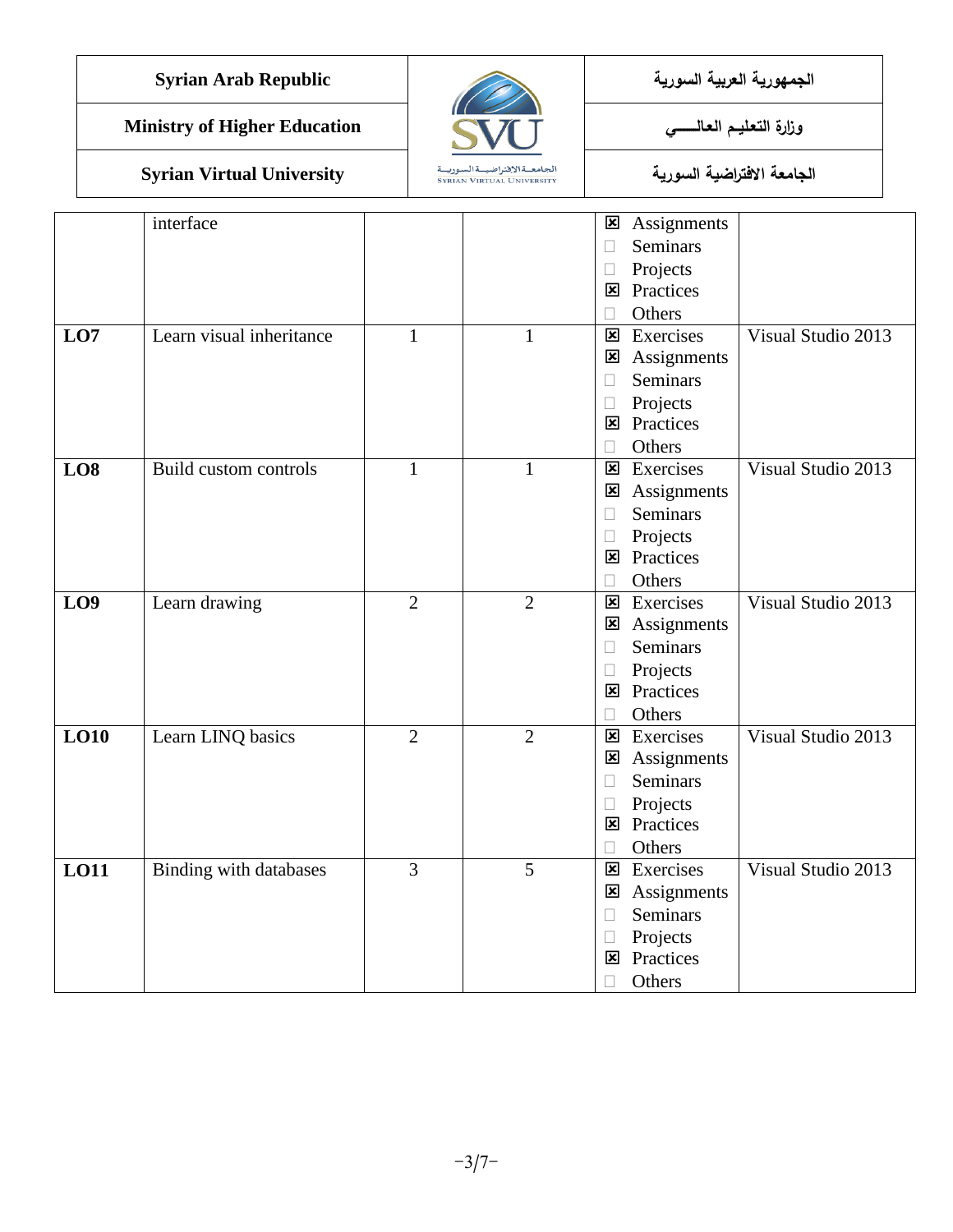

|                 | interface                |                |                |                         |                    |                    |
|-----------------|--------------------------|----------------|----------------|-------------------------|--------------------|--------------------|
|                 |                          |                |                | ⊠                       | Assignments        |                    |
|                 |                          |                |                | Ц                       | Seminars           |                    |
|                 |                          |                |                | $\Box$                  | Projects           |                    |
|                 |                          |                |                | $\overline{\mathbf{x}}$ | Practices          |                    |
|                 |                          |                |                | $\Box$                  | Others             |                    |
| LO <sub>7</sub> | Learn visual inheritance | $\mathbf{1}$   | $\mathbf{1}$   | $\overline{\mathbf{x}}$ | Exercises          | Visual Studio 2013 |
|                 |                          |                |                | $\mathbf{\overline{x}}$ | Assignments        |                    |
|                 |                          |                |                | $\Box$                  | Seminars           |                    |
|                 |                          |                |                | $\Box$                  | Projects           |                    |
|                 |                          |                |                |                         | <b>E</b> Practices |                    |
|                 |                          |                |                | Ш                       | Others             |                    |
| LO8             | Build custom controls    | 1              | $\mathbf{1}$   | $\overline{\mathbf{x}}$ | Exercises          | Visual Studio 2013 |
|                 |                          |                |                | $\mathbf{x}$            | Assignments        |                    |
|                 |                          |                |                | П                       | <b>Seminars</b>    |                    |
|                 |                          |                |                | $\Box$                  | Projects           |                    |
|                 |                          |                |                | ⊠                       | Practices          |                    |
|                 |                          |                |                | $\Box$                  | Others             |                    |
| LO <sub>9</sub> | Learn drawing            | $\overline{2}$ | $\overline{2}$ | $\mathbf{\overline{x}}$ | Exercises          | Visual Studio 2013 |
|                 |                          |                |                | $\mathbf x$             | Assignments        |                    |
|                 |                          |                |                | $\Box$                  | Seminars           |                    |
|                 |                          |                |                | $\Box$                  | Projects           |                    |
|                 |                          |                |                | 区                       | Practices          |                    |
|                 |                          |                |                | $\Box$                  | Others             |                    |
| LO10            | Learn LINQ basics        | $\overline{2}$ | $\overline{2}$ | $\mathbf{x}$            | Exercises          | Visual Studio 2013 |
|                 |                          |                |                | $\mathbf{x}$            | Assignments        |                    |
|                 |                          |                |                | $\Box$                  | Seminars           |                    |
|                 |                          |                |                | $\Box$                  | Projects           |                    |
|                 |                          |                |                | $\overline{\mathbf{x}}$ | Practices          |                    |
|                 |                          |                |                | Ш                       | Others             |                    |
| <b>LO11</b>     | Binding with databases   | 3              | $\overline{5}$ | 図                       | Exercises          | Visual Studio 2013 |
|                 |                          |                |                | $\mathbf{x}$            | Assignments        |                    |
|                 |                          |                |                | П                       | <b>Seminars</b>    |                    |
|                 |                          |                |                | Ш                       | Projects           |                    |
|                 |                          |                |                | $\overline{\mathbf{x}}$ | Practices          |                    |
|                 |                          |                |                | $\Box$                  | Others             |                    |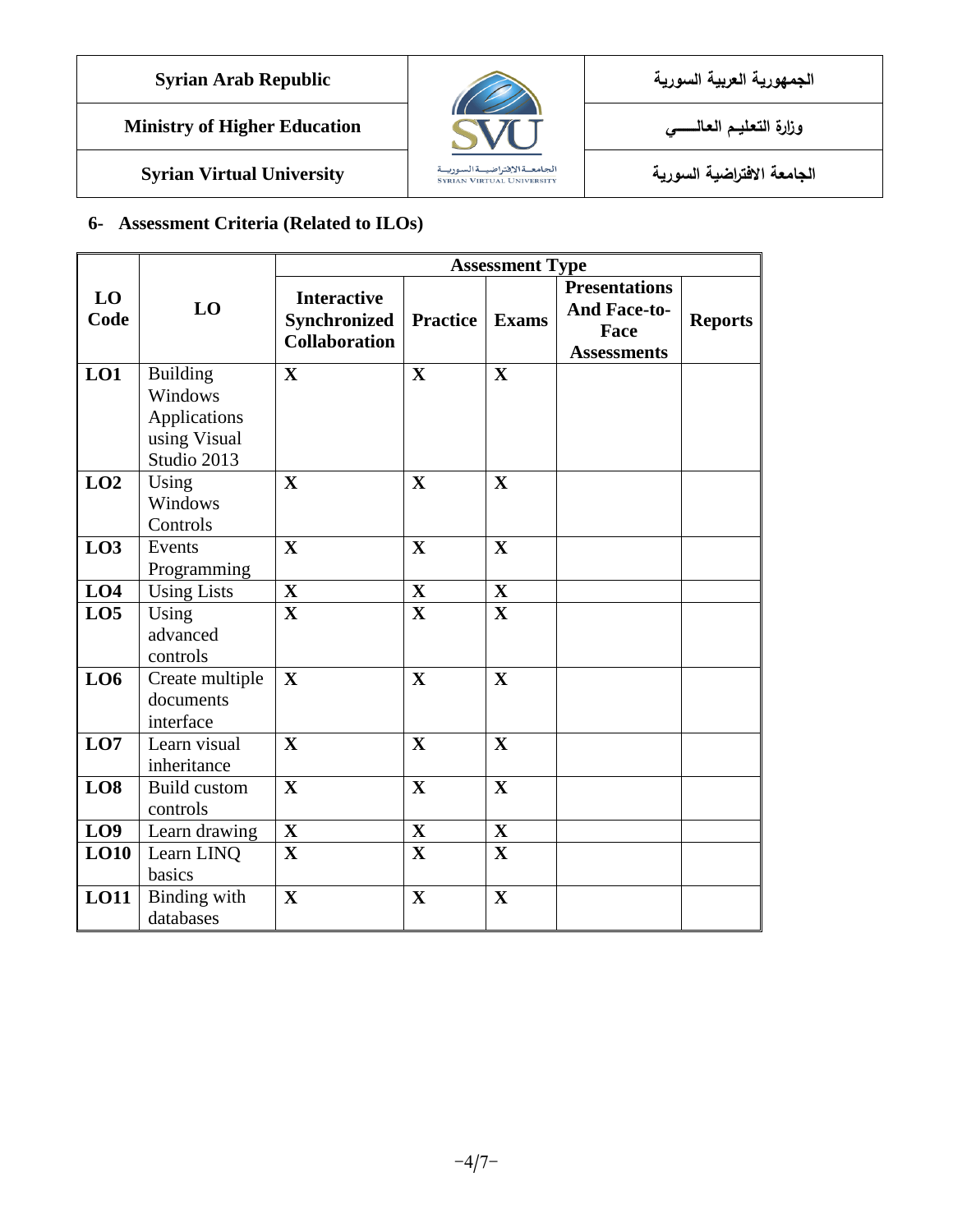# **الجمهورية العربية السورية Republic Arab Syrian**

**Ministry of Higher Education العـالـــــــــي التعـليــم وزارة**



**الجامعة االفتراضية السورية University Virtual Syrian**

# **6- Assessment Criteria (Related to ILOs)**

|                 |                                                                           | <b>Assessment Type</b>                                            |                 |              |                                                                           |                |
|-----------------|---------------------------------------------------------------------------|-------------------------------------------------------------------|-----------------|--------------|---------------------------------------------------------------------------|----------------|
| LO<br>Code      | LO                                                                        | <b>Interactive</b><br><b>Synchronized</b><br><b>Collaboration</b> | <b>Practice</b> | <b>Exams</b> | <b>Presentations</b><br><b>And Face-to-</b><br>Face<br><b>Assessments</b> | <b>Reports</b> |
| LO1             | <b>Building</b><br>Windows<br>Applications<br>using Visual<br>Studio 2013 | $\mathbf X$                                                       | $\mathbf{X}$    | $\mathbf X$  |                                                                           |                |
| LO2             | Using<br>Windows<br>Controls                                              | $\mathbf X$                                                       | $\mathbf{X}$    | $\mathbf X$  |                                                                           |                |
| LO3             | Events<br>Programming                                                     | $\mathbf X$                                                       | $\mathbf X$     | $\mathbf X$  |                                                                           |                |
| LO4             | <b>Using Lists</b>                                                        | $\mathbf{X}$                                                      | $\mathbf{X}$    | $\mathbf X$  |                                                                           |                |
| LO <sub>5</sub> | Using<br>advanced<br>controls                                             | $\mathbf{X}$                                                      | $\mathbf{X}$    | $\mathbf{X}$ |                                                                           |                |
| LO6             | Create multiple<br>documents<br>interface                                 | $\mathbf{X}$                                                      | $\mathbf{X}$    | $\mathbf{X}$ |                                                                           |                |
| LO7             | Learn visual<br>inheritance                                               | $\mathbf X$                                                       | $\mathbf X$     | $\mathbf X$  |                                                                           |                |
| LO8             | <b>Build custom</b><br>controls                                           | $\mathbf{X}$                                                      | $\mathbf{X}$    | $\mathbf{X}$ |                                                                           |                |
| LO <sub>9</sub> | Learn drawing                                                             | $\mathbf X$                                                       | $\mathbf X$     | $\mathbf X$  |                                                                           |                |
| LO10            | Learn LINQ<br>basics                                                      | $\mathbf X$                                                       | $\mathbf{X}$    | $\mathbf X$  |                                                                           |                |
| LO11            | Binding with<br>databases                                                 | $\mathbf{X}$                                                      | $\mathbf{X}$    | $\mathbf X$  |                                                                           |                |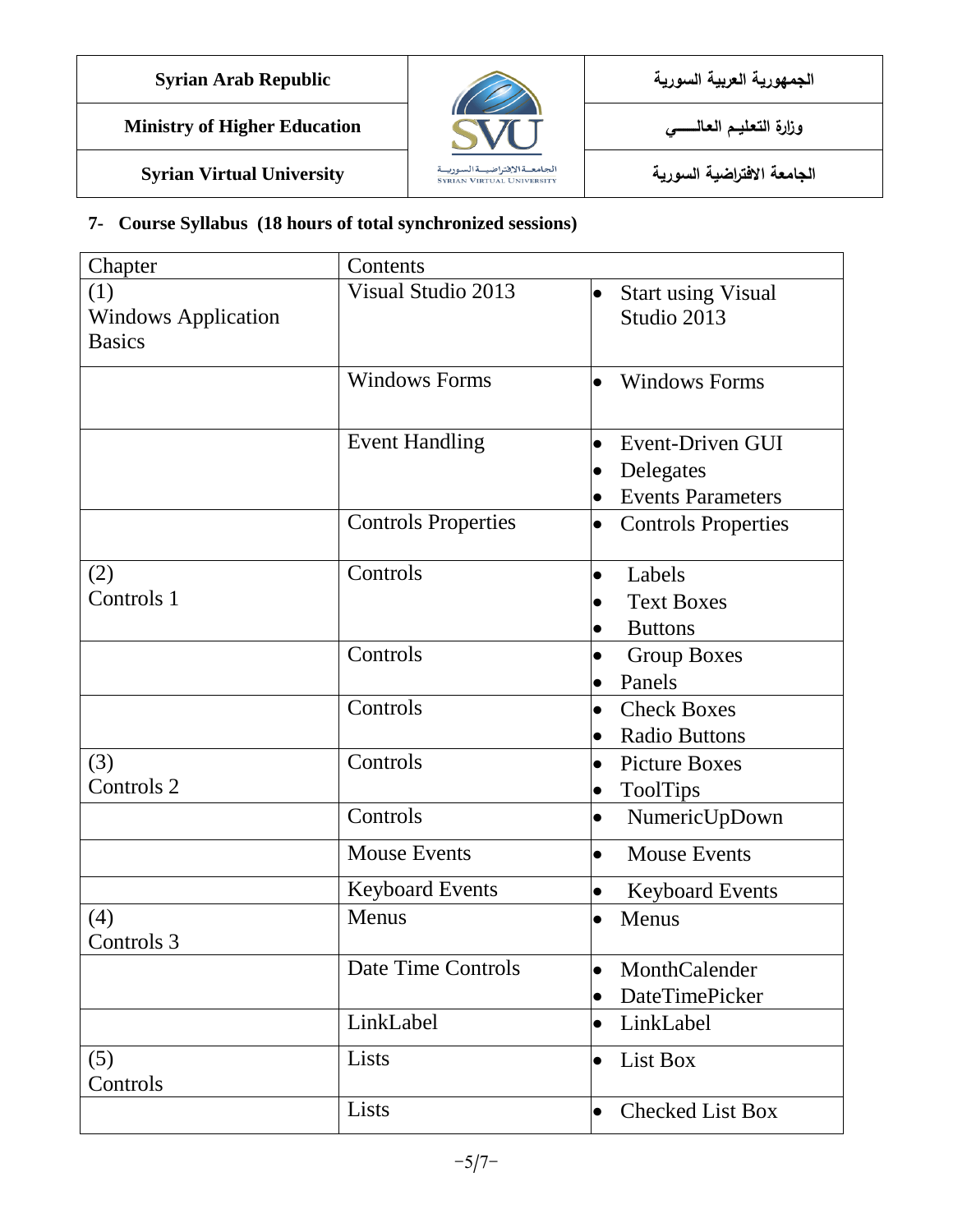

**Ministry of Higher Education العـالـــــــــي التعـليــم وزارة**

**الجامعة االفتراضية السورية University Virtual Syrian**



### **7- Course Syllabus (18 hours of total synchronized sessions)**

| Chapter                    | Contents                   |                                         |
|----------------------------|----------------------------|-----------------------------------------|
| (1)                        | Visual Studio 2013         | <b>Start using Visual</b><br>$\bullet$  |
| <b>Windows Application</b> |                            | Studio 2013                             |
| <b>Basics</b>              |                            |                                         |
|                            | <b>Windows Forms</b>       | <b>Windows Forms</b><br>$\bullet$       |
|                            | <b>Event Handling</b>      | Event-Driven GUI<br>$\bullet$           |
|                            |                            | Delegates<br>$\bullet$                  |
|                            |                            | <b>Events Parameters</b><br>$\bullet$   |
|                            | <b>Controls Properties</b> | <b>Controls Properties</b><br>$\bullet$ |
| (2)                        | Controls                   | Labels<br>$\bullet$                     |
| Controls 1                 |                            | <b>Text Boxes</b><br>$\bullet$          |
|                            |                            | <b>Buttons</b><br>$\bullet$             |
|                            | Controls                   | <b>Group Boxes</b><br>$\bullet$         |
|                            |                            | Panels<br>$\bullet$                     |
|                            | Controls                   | <b>Check Boxes</b><br>$\bullet$         |
|                            |                            | <b>Radio Buttons</b><br>$\bullet$       |
| (3)                        | Controls                   | <b>Picture Boxes</b><br>$\bullet$       |
| Controls 2                 |                            | <b>ToolTips</b><br>$\bullet$            |
|                            | Controls                   | $\bullet$<br>NumericUpDown              |
|                            | <b>Mouse Events</b>        | <b>Mouse Events</b><br>$\bullet$        |
|                            | <b>Keyboard Events</b>     | <b>Keyboard Events</b><br>$\bullet$     |
| (4)<br>Controls 3          | Menus                      | Menus<br>$\bullet$                      |
|                            | Date Time Controls         | MonthCalender<br>$\bullet$              |
|                            |                            | DateTimePicker<br>$\bullet$             |
|                            | LinkLabel                  | LinkLabel<br>$\bullet$                  |
| (5)<br>Controls            | Lists                      | List Box<br>$\bullet$                   |
|                            | Lists                      | <b>Checked List Box</b><br>$\bullet$    |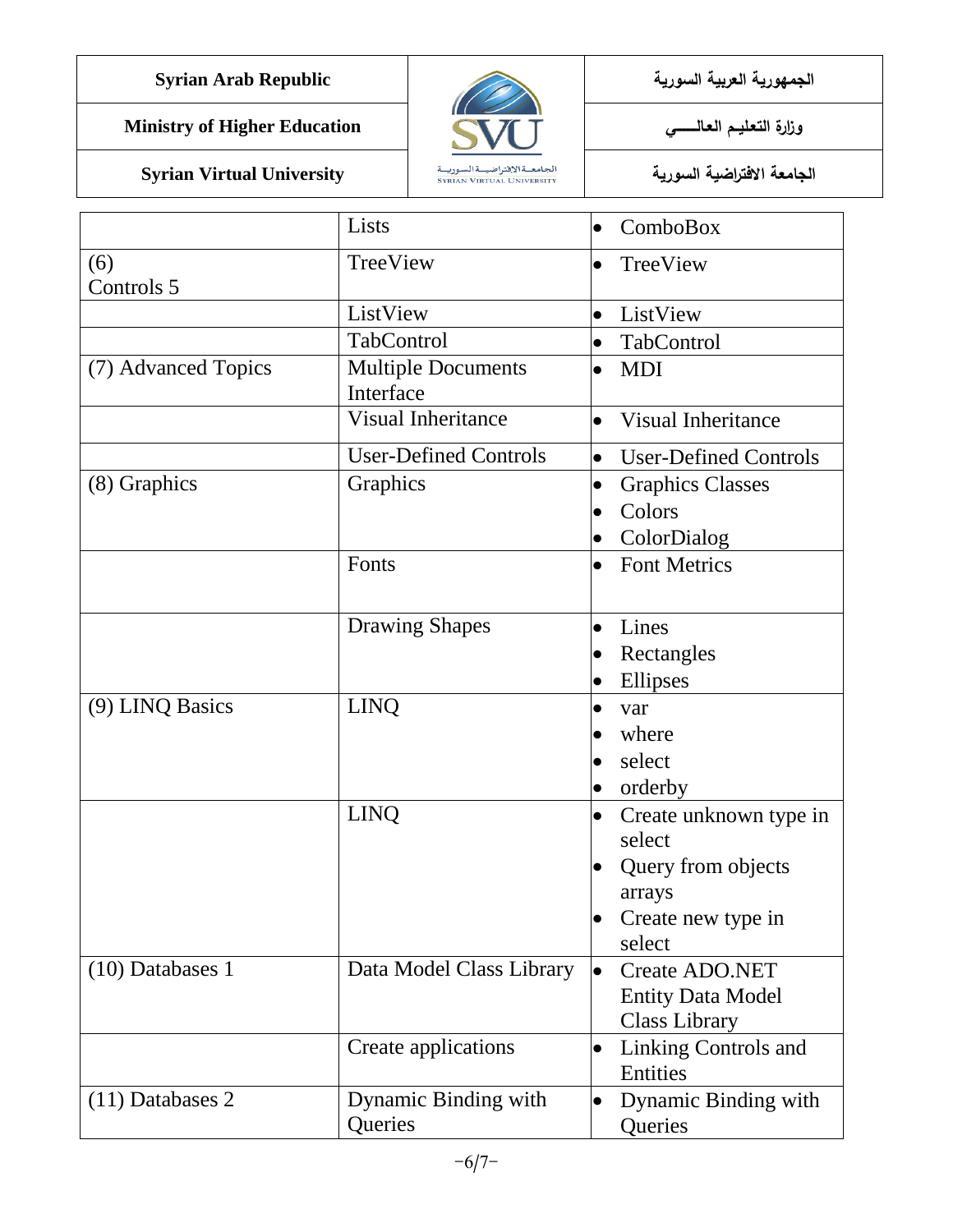**الجمهورية العربية السورية Republic Arab Syrian**

**Ministry of Higher Education العـالـــــــــي التعـليــم وزارة**



|                     | Lists                                  | ComboBox<br>$\bullet$                                                                                         |
|---------------------|----------------------------------------|---------------------------------------------------------------------------------------------------------------|
| (6)<br>Controls 5   | TreeView                               | TreeView<br>$\bullet$                                                                                         |
|                     | ListView                               | ListView<br>$\bullet$                                                                                         |
|                     | TabControl                             | TabControl<br>$\bullet$                                                                                       |
| (7) Advanced Topics | <b>Multiple Documents</b><br>Interface | <b>MDI</b><br>$\bullet$                                                                                       |
|                     | <b>Visual Inheritance</b>              | Visual Inheritance<br>$\bullet$                                                                               |
|                     | <b>User-Defined Controls</b>           | <b>User-Defined Controls</b><br>$\bullet$                                                                     |
| (8) Graphics        | Graphics                               | <b>Graphics Classes</b><br>$\bullet$<br>Colors<br>ColorDialog<br>$\bullet$                                    |
|                     | Fonts                                  | <b>Font Metrics</b><br>$\bullet$                                                                              |
|                     | <b>Drawing Shapes</b>                  | Lines<br>$\bullet$<br>Rectangles<br>Ellipses<br>$\bullet$                                                     |
| (9) LINQ Basics     | <b>LINQ</b>                            | var<br>where<br>select<br>orderby                                                                             |
|                     | <b>LINQ</b>                            | Create unknown type in<br>$\bullet$<br>select<br>Query from objects<br>arrays<br>Create new type in<br>select |
| $(10)$ Databases 1  | Data Model Class Library               | <b>Create ADO.NET</b><br>$\bullet$<br><b>Entity Data Model</b><br><b>Class Library</b>                        |
|                     | Create applications                    | Linking Controls and<br>$\bullet$<br>Entities                                                                 |
| $(11)$ Databases 2  | Dynamic Binding with<br>Queries        | Dynamic Binding with<br>$\bullet$<br>Queries                                                                  |